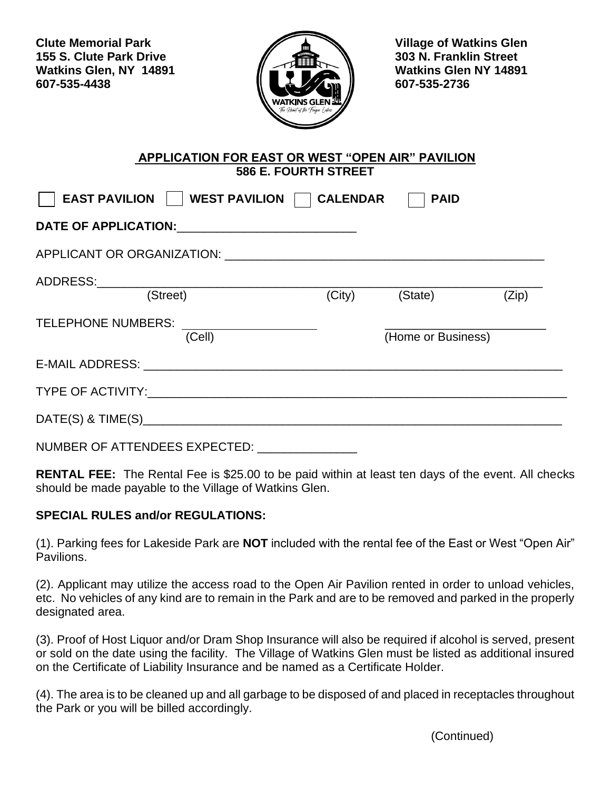**Clute Memorial Park Clutter Allen Clutter Memorial Park Clutter Allen Allen Allen Allen Allen Allen Allen Allen 155 S. Clute Park Drive 303 N. Franklin Street Watkins Glen, NY 14891 Watkins Glen NY 14891 607-535-4438 607-535-2736**



## **APPLICATION FOR EAST OR WEST "OPEN AIR" PAVILION 586 E. FOURTH STREET**

| EAST PAVILION     WEST PAVILION   CALENDAR<br><b>PAID</b> |        |                    |       |  |
|-----------------------------------------------------------|--------|--------------------|-------|--|
|                                                           |        |                    |       |  |
| APPLICANT OR ORGANIZATION: A SAMPLICANT OR ORGANIZATION:  |        |                    |       |  |
| ADDRESS:________________<br>(Street)                      | (City) | (State)            | (Zip) |  |
| <b>TELEPHONE NUMBERS:</b><br>(Cell)                       |        | (Home or Business) |       |  |
|                                                           |        |                    |       |  |
|                                                           |        |                    |       |  |
|                                                           |        |                    |       |  |

NUMBER OF ATTENDEES EXPECTED:

**RENTAL FEE:** The Rental Fee is \$25.00 to be paid within at least ten days of the event. All checks should be made payable to the Village of Watkins Glen.

## **SPECIAL RULES and/or REGULATIONS:**

(1). Parking fees for Lakeside Park are **NOT** included with the rental fee of the East or West "Open Air" Pavilions.

(2). Applicant may utilize the access road to the Open Air Pavilion rented in order to unload vehicles, etc. No vehicles of any kind are to remain in the Park and are to be removed and parked in the properly designated area.

(3). Proof of Host Liquor and/or Dram Shop Insurance will also be required if alcohol is served, present or sold on the date using the facility. The Village of Watkins Glen must be listed as additional insured on the Certificate of Liability Insurance and be named as a Certificate Holder.

(4). The area is to be cleaned up and all garbage to be disposed of and placed in receptacles throughout the Park or you will be billed accordingly.

(Continued)